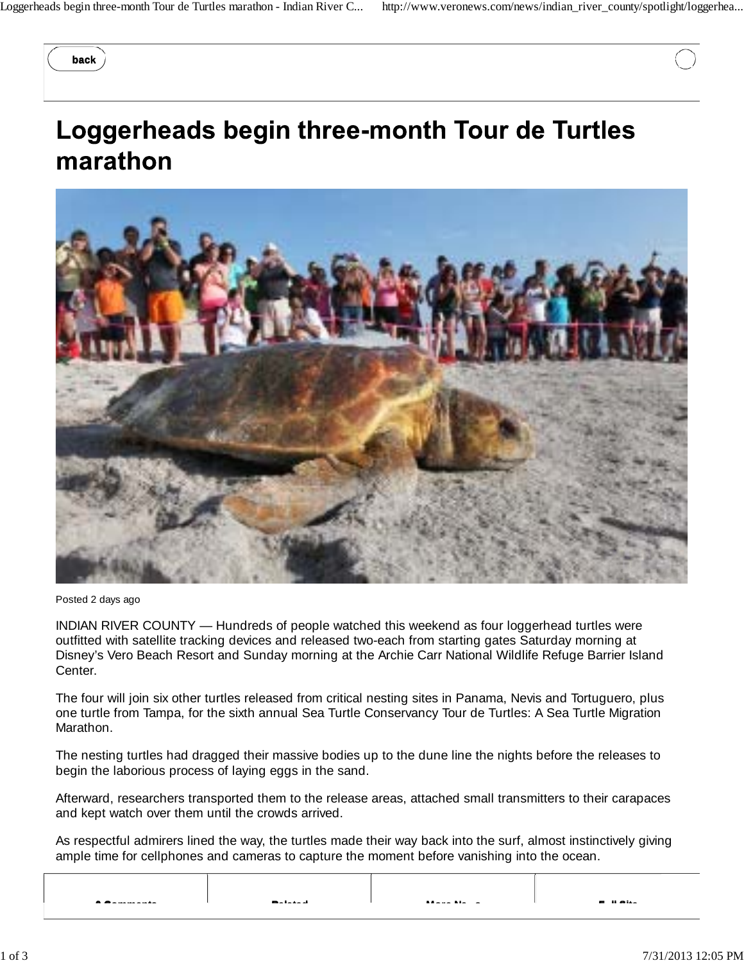**back**

## Loggerheads begin three-month Tour de Turtles marathon



Posted 2 days ago

INDIAN RIVER COUNTY — Hundreds of people watched this weekend as four loggerhead turtles were outfitted with satellite tracking devices and released two-each from starting gates Saturday morning at Disney's Vero Beach Resort and Sunday morning at the Archie Carr National Wildlife Refuge Barrier Island Center.

The four will join six other turtles released from critical nesting sites in Panama, Nevis and Tortuguero, plus one turtle from Tampa, for the sixth annual Sea Turtle Conservancy Tour de Turtles: A Sea Turtle Migration Marathon.

The nesting turtles had dragged their massive bodies up to the dune line the nights before the releases to begin the laborious process of laying eggs in the sand.

Afterward, researchers transported them to the release areas, attached small transmitters to their carapaces and kept watch over them until the crowds arrived.

As respectful admirers lined the way, the turtles made their way back into the surf, almost instinctively giving ample time for cellphones and cameras to capture the moment before vanishing into the ocean.

| - -<br>. | <b>Markets of</b> | $M = 1.5$ Mass $\sim$ | <b>COMMAND</b> |
|----------|-------------------|-----------------------|----------------|
|          |                   |                       |                |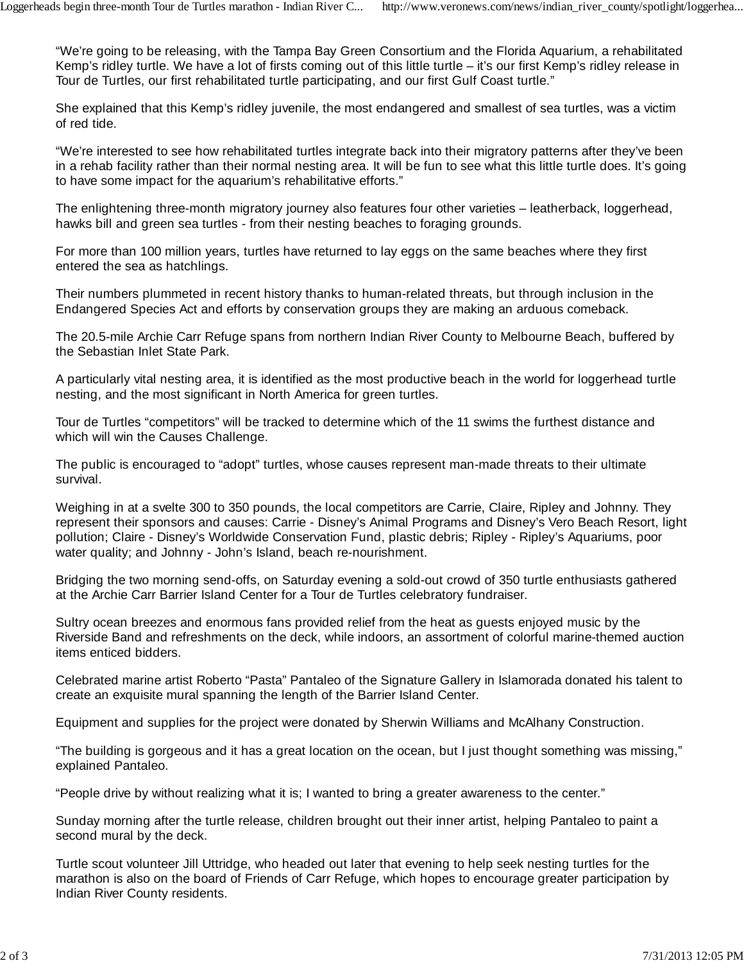"We're going to be releasing, with the Tampa Bay Green Consortium and the Florida Aquarium, a rehabilitated Kemp's ridley turtle. We have a lot of firsts coming out of this little turtle – it's our first Kemp's ridley release in Tour de Turtles, our first rehabilitated turtle participating, and our first Gulf Coast turtle."

She explained that this Kemp's ridley juvenile, the most endangered and smallest of sea turtles, was a victim of red tide.

"We're interested to see how rehabilitated turtles integrate back into their migratory patterns after they've been in a rehab facility rather than their normal nesting area. It will be fun to see what this little turtle does. It's going to have some impact for the aquarium's rehabilitative efforts."

The enlightening three-month migratory journey also features four other varieties – leatherback, loggerhead, hawks bill and green sea turtles - from their nesting beaches to foraging grounds.

For more than 100 million years, turtles have returned to lay eggs on the same beaches where they first entered the sea as hatchlings.

Their numbers plummeted in recent history thanks to human-related threats, but through inclusion in the Endangered Species Act and efforts by conservation groups they are making an arduous comeback.

The 20.5-mile Archie Carr Refuge spans from northern Indian River County to Melbourne Beach, buffered by the Sebastian Inlet State Park.

A particularly vital nesting area, it is identified as the most productive beach in the world for loggerhead turtle nesting, and the most significant in North America for green turtles.

Tour de Turtles "competitors" will be tracked to determine which of the 11 swims the furthest distance and which will win the Causes Challenge.

The public is encouraged to "adopt" turtles, whose causes represent man-made threats to their ultimate survival.

Weighing in at a svelte 300 to 350 pounds, the local competitors are Carrie, Claire, Ripley and Johnny. They represent their sponsors and causes: Carrie - Disney's Animal Programs and Disney's Vero Beach Resort, light pollution; Claire - Disney's Worldwide Conservation Fund, plastic debris; Ripley - Ripley's Aquariums, poor water quality; and Johnny - John's Island, beach re-nourishment.

Bridging the two morning send-offs, on Saturday evening a sold-out crowd of 350 turtle enthusiasts gathered at the Archie Carr Barrier Island Center for a Tour de Turtles celebratory fundraiser.

Sultry ocean breezes and enormous fans provided relief from the heat as guests enjoyed music by the Riverside Band and refreshments on the deck, while indoors, an assortment of colorful marine-themed auction items enticed bidders.

Celebrated marine artist Roberto "Pasta" Pantaleo of the Signature Gallery in Islamorada donated his talent to create an exquisite mural spanning the length of the Barrier Island Center.

Equipment and supplies for the project were donated by Sherwin Williams and McAlhany Construction.

"The building is gorgeous and it has a great location on the ocean, but I just thought something was missing," explained Pantaleo.

"People drive by without realizing what it is; I wanted to bring a greater awareness to the center."

Sunday morning after the turtle release, children brought out their inner artist, helping Pantaleo to paint a second mural by the deck.

Turtle scout volunteer Jill Uttridge, who headed out later that evening to help seek nesting turtles for the marathon is also on the board of Friends of Carr Refuge, which hopes to encourage greater participation by Indian River County residents.